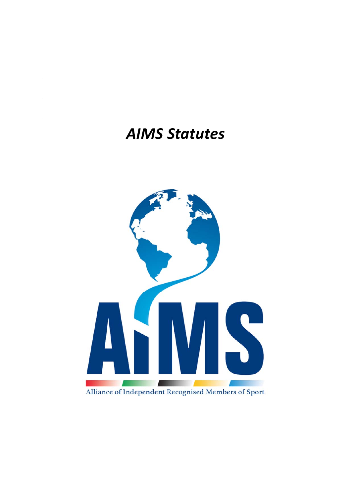# *AIMS Statutes*

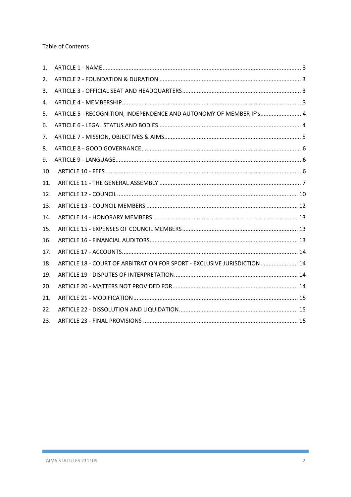**Table of Contents** 

| 1.  |                                                                          |  |
|-----|--------------------------------------------------------------------------|--|
| 2.  |                                                                          |  |
| 3.  |                                                                          |  |
| 4.  |                                                                          |  |
| 5.  | ARTICLE 5 - RECOGNITION, INDEPENDENCE AND AUTONOMY OF MEMBER IF's 4      |  |
| 6.  |                                                                          |  |
| 7.  |                                                                          |  |
| 8.  |                                                                          |  |
| 9.  |                                                                          |  |
| 10. |                                                                          |  |
| 11. |                                                                          |  |
| 12. |                                                                          |  |
| 13. |                                                                          |  |
| 14. |                                                                          |  |
| 15. |                                                                          |  |
| 16. |                                                                          |  |
| 17. |                                                                          |  |
| 18. | ARTICLE 18 - COURT OF ARBITRATION FOR SPORT - EXCLUSIVE JURISDICTION  14 |  |
| 19. |                                                                          |  |
| 20. |                                                                          |  |
| 21. |                                                                          |  |
| 22. |                                                                          |  |
| 23. |                                                                          |  |

п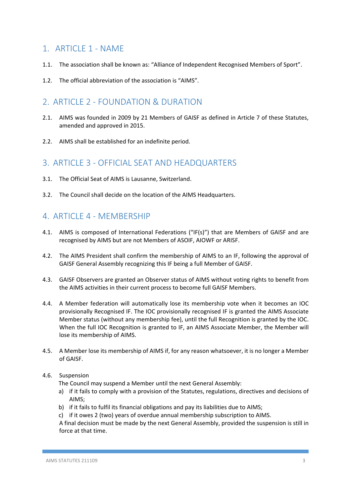### 1 ARTICLE 1 - NAME

- 1.1. The association shall be known as: "Alliance of Independent Recognised Members of Sport".
- 1.2. The official abbreviation of the association is "AIMS".

### 2. ARTICLE 2 - FOUNDATION & DURATION

- 2.1. AIMS was founded in 2009 by 21 Members of GAISF as defined in Article 7 of these Statutes, amended and approved in 2015.
- 2.2. AIMS shall be established for an indefinite period.

### 3. ARTICLE 3 ‐ OFFICIAL SEAT AND HEADQUARTERS

- 3.1. The Official Seat of AIMS is Lausanne, Switzerland.
- 3.2. The Council shall decide on the location of the AIMS Headquarters.

### 4. ARTICLE 4 ‐ MEMBERSHIP

- 4.1. AIMS is composed of International Federations ("IF(s)") that are Members of GAISF and are recognised by AIMS but are not Members of ASOIF, AIOWF or ARISF.
- 4.2. The AIMS President shall confirm the membership of AIMS to an IF, following the approval of GAISF General Assembly recognizing this IF being a full Member of GAISF.
- 4.3. GAISF Observers are granted an Observer status of AIMS without voting rights to benefit from the AIMS activities in their current process to become full GAISF Members.
- 4.4. A Member federation will automatically lose its membership vote when it becomes an IOC provisionally Recognised IF. The IOC provisionally recognised IF is granted the AIMS Associate Member status (without any membership fee), until the full Recognition is granted by the IOC. When the full IOC Recognition is granted to IF, an AIMS Associate Member, the Member will lose its membership of AIMS.
- 4.5. A Member lose its membership of AIMS if, for any reason whatsoever, it is no longer a Member of GAISF.

#### 4.6. Suspension

The Council may suspend a Member until the next General Assembly:

- a) if it fails to comply with a provision of the Statutes, regulations, directives and decisions of AIMS;
- b) if it fails to fulfil its financial obligations and pay its liabilities due to AIMS;
- c) if it owes 2 (two) years of overdue annual membership subscription to AIMS.

A final decision must be made by the next General Assembly, provided the suspension is still in force at that time.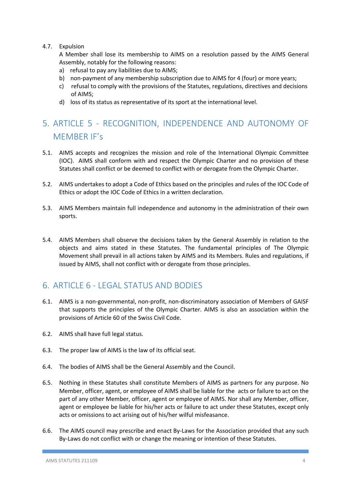#### 4.7. Expulsion

A Member shall lose its membership to AIMS on a resolution passed by the AIMS General Assembly, notably for the following reasons:

- a) refusal to pay any liabilities due to AIMS;
- b) non-payment of any membership subscription due to AIMS for 4 (four) or more years;
- c) refusal to comply with the provisions of the Statutes, regulations, directives and decisions of AIMS;
- d) loss of its status as representative of its sport at the international level.

# 5. ARTICLE 5 ‐ RECOGNITION, INDEPENDENCE AND AUTONOMY OF MEMBER IF's

- 5.1. AIMS accepts and recognizes the mission and role of the International Olympic Committee (IOC). AIMS shall conform with and respect the Olympic Charter and no provision of these Statutes shall conflict or be deemed to conflict with or derogate from the Olympic Charter.
- 5.2. AIMS undertakes to adopt a Code of Ethics based on the principles and rules of the IOC Code of Ethics or adopt the IOC Code of Ethics in a written declaration.
- 5.3. AIMS Members maintain full independence and autonomy in the administration of their own sports.
- 5.4. AIMS Members shall observe the decisions taken by the General Assembly in relation to the objects and aims stated in these Statutes. The fundamental principles of The Olympic Movement shall prevail in all actions taken by AIMS and its Members. Rules and regulations, if issued by AIMS, shall not conflict with or derogate from those principles.

### 6. ARTICLE 6 ‐ LEGAL STATUS AND BODIES

- 6.1. AIMS is a non‐governmental, non‐profit, non‐discriminatory association of Members of GAISF that supports the principles of the Olympic Charter. AIMS is also an association within the provisions of Article 60 of the Swiss Civil Code.
- 6.2. AIMS shall have full legal status.
- 6.3. The proper law of AIMS is the law of its official seat.
- 6.4. The bodies of AIMS shall be the General Assembly and the Council.
- 6.5. Nothing in these Statutes shall constitute Members of AIMS as partners for any purpose. No Member, officer, agent, or employee of AIMS shall be liable for the acts or failure to act on the part of any other Member, officer, agent or employee of AIMS. Nor shall any Member, officer, agent or employee be liable for his/her acts or failure to act under these Statutes, except only acts or omissions to act arising out of his/her wilful misfeasance.
- 6.6. The AIMS council may prescribe and enact By‐Laws for the Association provided that any such By-Laws do not conflict with or change the meaning or intention of these Statutes.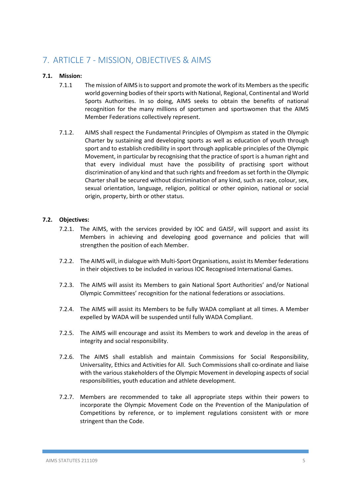# 7. ARTICLE 7 ‐ MISSION, OBJECTIVES & AIMS

#### **7.1. Mission:**

- 7.1.1 The mission of AIMS is to support and promote the work of its Members as the specific world governing bodies of their sports with National, Regional, Continental and World Sports Authorities. In so doing, AIMS seeks to obtain the benefits of national recognition for the many millions of sportsmen and sportswomen that the AIMS Member Federations collectively represent.
- 7.1.2. AIMS shall respect the Fundamental Principles of Olympism as stated in the Olympic Charter by sustaining and developing sports as well as education of youth through sport and to establish credibility in sport through applicable principles of the Olympic Movement, in particular by recognising that the practice of sport is a human right and that every individual must have the possibility of practising sport without discrimination of any kind and that such rights and freedom as set forth in the Olympic Charter shall be secured without discrimination of any kind, such as race, colour, sex, sexual orientation, language, religion, political or other opinion, national or social origin, property, birth or other status.

#### **7.2. Objectives:**

- 7.2.1. The AIMS, with the services provided by IOC and GAISF, will support and assist its Members in achieving and developing good governance and policies that will strengthen the position of each Member.
- 7.2.2. The AIMS will, in dialogue with Multi‐Sport Organisations, assist its Member federations in their objectives to be included in various IOC Recognised International Games.
- 7.2.3. The AIMS will assist its Members to gain National Sport Authorities' and/or National Olympic Committees' recognition for the national federations or associations.
- 7.2.4. The AIMS will assist its Members to be fully WADA compliant at all times. A Member expelled by WADA will be suspended until fully WADA Compliant.
- 7.2.5. The AIMS will encourage and assist its Members to work and develop in the areas of integrity and social responsibility.
- 7.2.6. The AIMS shall establish and maintain Commissions for Social Responsibility, Universality, Ethics and Activities for All. Such Commissions shall co‐ordinate and liaise with the various stakeholders of the Olympic Movement in developing aspects of social responsibilities, youth education and athlete development.
- 7.2.7. Members are recommended to take all appropriate steps within their powers to incorporate the Olympic Movement Code on the Prevention of the Manipulation of Competitions by reference, or to implement regulations consistent with or more stringent than the Code.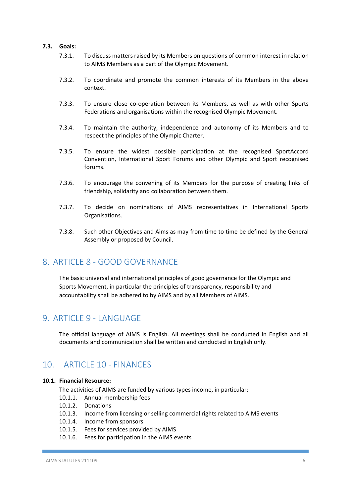#### **7.3. Goals:**

- 7.3.1. To discuss matters raised by its Members on questions of common interest in relation to AIMS Members as a part of the Olympic Movement.
- 7.3.2. To coordinate and promote the common interests of its Members in the above context.
- 7.3.3. To ensure close co-operation between its Members, as well as with other Sports Federations and organisations within the recognised Olympic Movement.
- 7.3.4. To maintain the authority, independence and autonomy of its Members and to respect the principles of the Olympic Charter.
- 7.3.5. To ensure the widest possible participation at the recognised SportAccord Convention, International Sport Forums and other Olympic and Sport recognised forums.
- 7.3.6. To encourage the convening of its Members for the purpose of creating links of friendship, solidarity and collaboration between them.
- 7.3.7. To decide on nominations of AIMS representatives in International Sports Organisations.
- 7.3.8. Such other Objectives and Aims as may from time to time be defined by the General Assembly or proposed by Council.

### 8. ARTICLE 8 - GOOD GOVERNANCE

The basic universal and international principles of good governance for the Olympic and Sports Movement, in particular the principles of transparency, responsibility and accountability shall be adhered to by AIMS and by all Members of AIMS.

### 9. ARTICLE 9 - LANGUAGE

The official language of AIMS is English. All meetings shall be conducted in English and all documents and communication shall be written and conducted in English only.

### 10. ARTICLE 10 ‐ FINANCES

#### **10.1. Financial Resource:**

The activities of AIMS are funded by various types income, in particular:

- 10.1.1. Annual membership fees
- 10.1.2. Donations
- 10.1.3. Income from licensing or selling commercial rights related to AIMS events
- 10.1.4. Income from sponsors
- 10.1.5. Fees for services provided by AIMS
- 10.1.6. Fees for participation in the AIMS events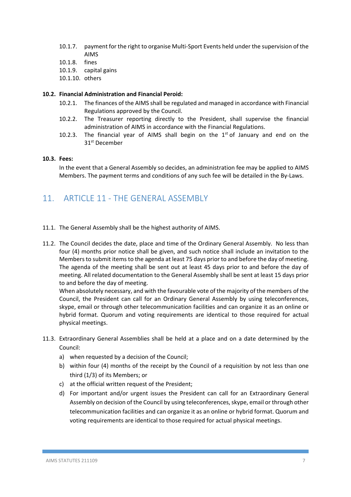- 10.1.7. payment for the right to organise Multi-Sport Events held under the supervision of the AIMS
- 10.1.8. fines
- 10.1.9. capital gains
- 10.1.10. others

#### **10.2. Financial Administration and Financial Peroid:**

- 10.2.1. The finances of the AIMS shall be regulated and managed in accordance with Financial Regulations approved by the Council.
- 10.2.2. The Treasurer reporting directly to the President, shall supervise the financial administration of AIMS in accordance with the Financial Regulations.
- 10.2.3. The financial year of AIMS shall begin on the  $1<sup>st</sup>$  of January and end on the 31st December

#### **10.3. Fees:**

In the event that a General Assembly so decides, an administration fee may be applied to AIMS Members. The payment terms and conditions of any such fee will be detailed in the By-Laws.

### 11. ARTICLE 11 - THE GENERAL ASSEMBLY

- 11.1. The General Assembly shall be the highest authority of AIMS.
- 11.2. The Council decides the date, place and time of the Ordinary General Assembly. No less than four (4) months prior notice shall be given, and such notice shall include an invitation to the Members to submit items to the agenda at least 75 days prior to and before the day of meeting. The agenda of the meeting shall be sent out at least 45 days prior to and before the day of meeting. All related documentation to the General Assembly shall be sent at least 15 days prior to and before the day of meeting.

When absolutely necessary, and with the favourable vote of the majority of the members of the Council, the President can call for an Ordinary General Assembly by using teleconferences, skype, email or through other telecommunication facilities and can organize it as an online or hybrid format. Quorum and voting requirements are identical to those required for actual physical meetings.

- 11.3. Extraordinary General Assemblies shall be held at a place and on a date determined by the Council:
	- a) when requested by a decision of the Council;
	- b) within four (4) months of the receipt by the Council of a requisition by not less than one third (1/3) of its Members; or
	- c) at the official written request of the President;
	- d) For important and/or urgent issues the President can call for an Extraordinary General Assembly on decision of the Council by using teleconferences, skype, email or through other telecommunication facilities and can organize it as an online or hybrid format. Quorum and voting requirements are identical to those required for actual physical meetings.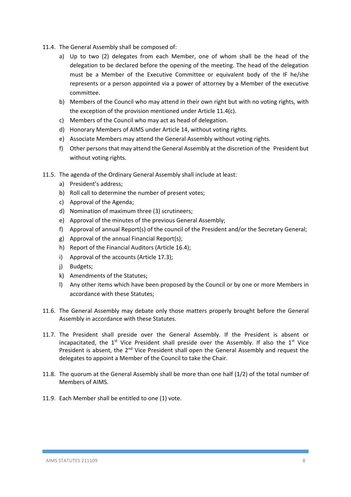- 11.4. The General Assembly shall be composed of:
	- a) Up to two (2) delegates from each Member, one of whom shall be the head of the delegation to be declared before the opening of the meeting. The head of the delegation must be a Member of the Executive Committee or equivalent body of the IF he/she represents or a person appointed via a power of attorney by a Member of the executive committee.
	- b) Members of the Council who may attend in their own right but with no voting rights, with the exception of the provision mentioned under Article 11.4(c).
	- c) Members of the Council who may act as head of delegation.
	- d) Honorary Members of AIMS under Article 14, without voting rights.
	- e) Associate Members may attend the General Assembly without voting rights.
	- f) Other persons that may attend the General Assembly at the discretion of the President but without voting rights.
- 11.5. The agenda of the Ordinary General Assembly shall include at least:
	- a) President's address;
	- b) Roll call to determine the number of present votes;
	- c) Approval of the Agenda;
	- d) Nomination of maximum three (3) scrutineers;
	- e) Approval of the minutes of the previous General Assembly;
	- f) Approval of annual Report(s) of the council of the President and/or the Secretary General;
	- g) Approval of the annual Financial Report(s);
	- h) Report of the Financial Auditors (Article 16.4);
	- i) Approval of the accounts (Article 17.3);
	- j) Budgets;
	- k) Amendments of the Statutes;
	- l) Any other items which have been proposed by the Council or by one or more Members in accordance with these Statutes;
- 11.6. The General Assembly may debate only those matters properly brought before the General Assembly in accordance with these Statutes.
- 11.7. The President shall preside over the General Assembly. If the President is absent or incapacitated, the  $1<sup>st</sup>$  Vice President shall preside over the Assembly. If also the  $1<sup>st</sup>$  Vice President is absent, the  $2^{nd}$  Vice President shall open the General Assembly and request the delegates to appoint a Member of the Council to take the Chair.
- 11.8. The quorum at the General Assembly shall be more than one half (1/2) of the total number of Members of AIMS.
- 11.9. Each Member shall be entitled to one (1) vote.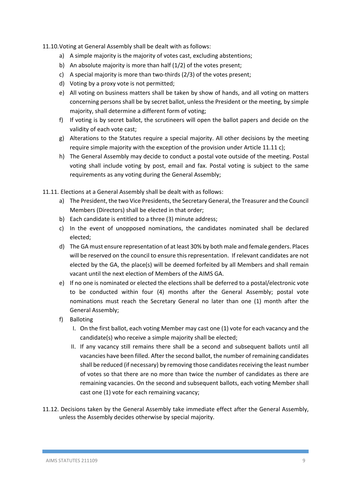#### 11.10.Voting at General Assembly shall be dealt with as follows:

- a) A simple majority is the majority of votes cast, excluding abstentions;
- b) An absolute majority is more than half (1/2) of the votes present;
- c) A special majority is more than two-thirds  $(2/3)$  of the votes present;
- d) Voting by a proxy vote is not permitted;
- e) All voting on business matters shall be taken by show of hands, and all voting on matters concerning persons shall be by secret ballot, unless the President or the meeting, by simple majority, shall determine a different form of voting;
- f) If voting is by secret ballot, the scrutineers will open the ballot papers and decide on the validity of each vote cast;
- g) Alterations to the Statutes require a special majority. All other decisions by the meeting require simple majority with the exception of the provision under Article 11.11 c);
- h) The General Assembly may decide to conduct a postal vote outside of the meeting. Postal voting shall include voting by post, email and fax. Postal voting is subject to the same requirements as any voting during the General Assembly;

11.11. Elections at a General Assembly shall be dealt with as follows:

- a) The President, the two Vice Presidents, the Secretary General, the Treasurer and the Council Members (Directors) shall be elected in that order;
- b) Each candidate is entitled to a three (3) minute address;
- c) In the event of unopposed nominations, the candidates nominated shall be declared elected;
- d) The GA must ensure representation of at least 30% by both male and female genders. Places will be reserved on the council to ensure this representation. If relevant candidates are not elected by the GA, the place(s) will be deemed forfeited by all Members and shall remain vacant until the next election of Members of the AIMS GA.
- e) If no one is nominated or elected the elections shall be deferred to a postal/electronic vote to be conducted within four (4) months after the General Assembly; postal vote nominations must reach the Secretary General no later than one (1) month after the General Assembly;
- f) Balloting
	- I. On the first ballot, each voting Member may cast one (1) vote for each vacancy and the candidate(s) who receive a simple majority shall be elected;
	- II. If any vacancy still remains there shall be a second and subsequent ballots until all vacancies have been filled. After the second ballot, the number of remaining candidates shall be reduced (if necessary) by removing those candidates receiving the least number of votes so that there are no more than twice the number of candidates as there are remaining vacancies. On the second and subsequent ballots, each voting Member shall cast one (1) vote for each remaining vacancy;
- 11.12. Decisions taken by the General Assembly take immediate effect after the General Assembly, unless the Assembly decides otherwise by special majority.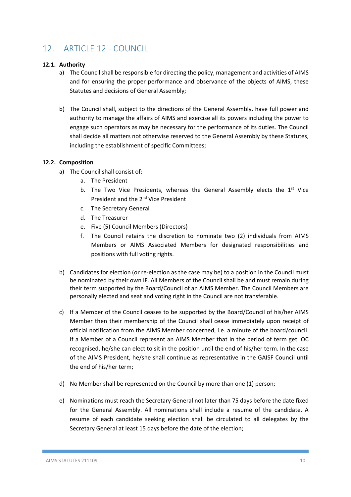# 12. ARTICLE 12 - COUNCIL

#### **12.1. Authority**

- a) The Council shall be responsible for directing the policy, management and activities of AIMS and for ensuring the proper performance and observance of the objects of AIMS, these Statutes and decisions of General Assembly;
- b) The Council shall, subject to the directions of the General Assembly, have full power and authority to manage the affairs of AIMS and exercise all its powers including the power to engage such operators as may be necessary for the performance of its duties. The Council shall decide all matters not otherwise reserved to the General Assembly by these Statutes, including the establishment of specific Committees;

#### **12.2. Composition**

- a) The Council shall consist of:
	- a. The President
	- b. The Two Vice Presidents, whereas the General Assembly elects the 1<sup>st</sup> Vice President and the 2<sup>nd</sup> Vice President
	- c. The Secretary General
	- d. The Treasurer
	- e. Five (5) Council Members (Directors)
	- f. The Council retains the discretion to nominate two (2) individuals from AIMS Members or AIMS Associated Members for designated responsibilities and positions with full voting rights.
- b) Candidates for election (or re-election as the case may be) to a position in the Council must be nominated by their own IF. All Members of the Council shall be and must remain during their term supported by the Board/Council of an AIMS Member. The Council Members are personally elected and seat and voting right in the Council are not transferable.
- c) If a Member of the Council ceases to be supported by the Board/Council of his/her AIMS Member then their membership of the Council shall cease immediately upon receipt of official notification from the AIMS Member concerned, i.e. a minute of the board/council. If a Member of a Council represent an AIMS Member that in the period of term get IOC recognised, he/she can elect to sit in the position until the end of his/her term. In the case of the AIMS President, he/she shall continue as representative in the GAISF Council until the end of his/her term;
- d) No Member shall be represented on the Council by more than one (1) person;
- e) Nominations must reach the Secretary General not later than 75 days before the date fixed for the General Assembly. All nominations shall include a resume of the candidate. A resume of each candidate seeking election shall be circulated to all delegates by the Secretary General at least 15 days before the date of the election;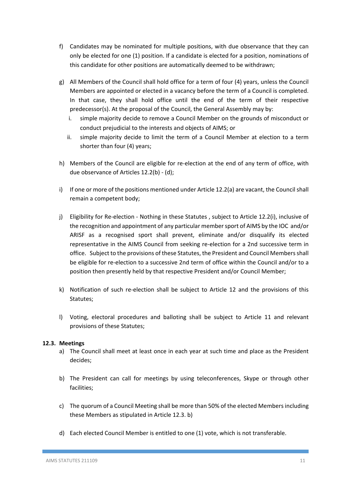- f) Candidates may be nominated for multiple positions, with due observance that they can only be elected for one (1) position. If a candidate is elected for a position, nominations of this candidate for other positions are automatically deemed to be withdrawn;
- g) All Members of the Council shall hold office for a term of four (4) years, unless the Council Members are appointed or elected in a vacancy before the term of a Council is completed. In that case, they shall hold office until the end of the term of their respective predecessor(s). At the proposal of the Council, the General Assembly may by:
	- i. simple majority decide to remove a Council Member on the grounds of misconduct or conduct prejudicial to the interests and objects of AIMS; or
	- ii. simple majority decide to limit the term of a Council Member at election to a term shorter than four (4) years;
- h) Members of the Council are eligible for re‐election at the end of any term of office, with due observance of Articles 12.2(b) ‐ (d);
- i) If one or more of the positions mentioned under Article 12.2(a) are vacant, the Council shall remain a competent body;
- j) Eligibility for Re‐election ‐ Nothing in these Statutes , subject to Article 12.2(i), inclusive of the recognition and appointment of any particular member sport of AIMS by the IOC and/or ARISF as a recognised sport shall prevent, eliminate and/or disqualify its elected representative in the AIMS Council from seeking re-election for a 2nd successive term in office. Subject to the provisions of these Statutes, the President and Council Members shall be eligible for re-election to a successive 2nd term of office within the Council and/or to a position then presently held by that respective President and/or Council Member;
- k) Notification of such re-election shall be subject to Article 12 and the provisions of this Statutes;
- l) Voting, electoral procedures and balloting shall be subject to Article 11 and relevant provisions of these Statutes;

#### **12.3. Meetings**

- a) The Council shall meet at least once in each year at such time and place as the President decides;
- b) The President can call for meetings by using teleconferences, Skype or through other facilities;
- c) The quorum of a Council Meeting shall be more than 50% of the elected Members including these Members as stipulated in Article 12.3. b)
- d) Each elected Council Member is entitled to one (1) vote, which is not transferable.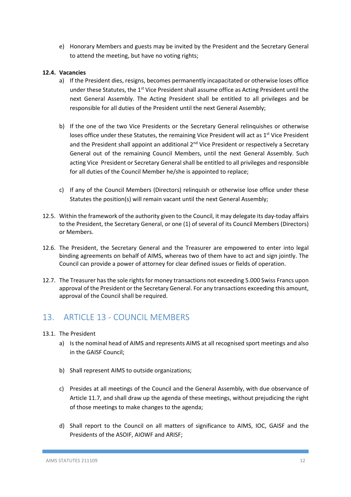e) Honorary Members and guests may be invited by the President and the Secretary General to attend the meeting, but have no voting rights;

#### **12.4. Vacancies**

- a) If the President dies, resigns, becomes permanently incapacitated or otherwise loses office under these Statutes, the  $1<sup>st</sup>$  Vice President shall assume office as Acting President until the next General Assembly. The Acting President shall be entitled to all privileges and be responsible for all duties of the President until the next General Assembly;
- b) If the one of the two Vice Presidents or the Secretary General relinquishes or otherwise loses office under these Statutes, the remaining Vice President will act as 1<sup>st</sup> Vice President and the President shall appoint an additional 2<sup>nd</sup> Vice President or respectively a Secretary General out of the remaining Council Members, until the next General Assembly. Such acting Vice President or Secretary General shall be entitled to all privileges and responsible for all duties of the Council Member he/she is appointed to replace;
- c) If any of the Council Members (Directors) relinquish or otherwise lose office under these Statutes the position(s) will remain vacant until the next General Assembly;
- 12.5. Within the framework of the authority given to the Council, it may delegate its day-today affairs to the President, the Secretary General, or one (1) of several of its Council Members (Directors) or Members.
- 12.6. The President, the Secretary General and the Treasurer are empowered to enter into legal binding agreements on behalf of AIMS, whereas two of them have to act and sign jointly. The Council can provide a power of attorney for clear defined issues or fields of operation.
- 12.7. The Treasurer has the sole rights for money transactions not exceeding 5.000 Swiss Francs upon approval of the President or the Secretary General. For any transactions exceeding this amount, approval of the Council shall be required.

### 13. ARTICLE 13 - COUNCIL MEMBERS

- 13.1. The President
	- a) Is the nominal head of AIMS and represents AIMS at all recognised sport meetings and also in the GAISF Council;
	- b) Shall represent AIMS to outside organizations;
	- c) Presides at all meetings of the Council and the General Assembly, with due observance of Article 11.7, and shall draw up the agenda of these meetings, without prejudicing the right of those meetings to make changes to the agenda;
	- d) Shall report to the Council on all matters of significance to AIMS, IOC, GAISF and the Presidents of the ASOIF, AIOWF and ARISF;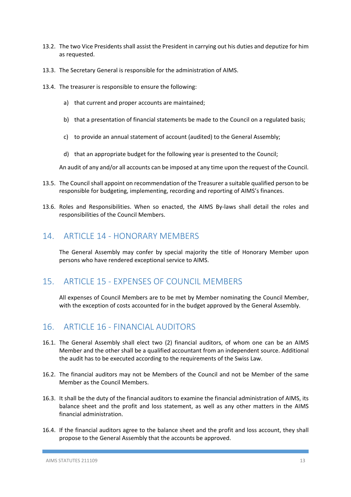- 13.2. The two Vice Presidents shall assist the President in carrying out his duties and deputize for him as requested.
- 13.3. The Secretary General is responsible for the administration of AIMS.
- 13.4. The treasurer is responsible to ensure the following:
	- a) that current and proper accounts are maintained;
	- b) that a presentation of financial statements be made to the Council on a regulated basis;
	- c) to provide an annual statement of account (audited) to the General Assembly;
	- d) that an appropriate budget for the following year is presented to the Council;

An audit of any and/or all accounts can be imposed at any time upon the request of the Council.

- 13.5. The Council shall appoint on recommendation of the Treasurer a suitable qualified person to be responsible for budgeting, implementing, recording and reporting of AIMS's finances.
- 13.6. Roles and Responsibilities. When so enacted, the AIMS By‐laws shall detail the roles and responsibilities of the Council Members.

### 14. ARTICLE 14 - HONORARY MEMBERS

The General Assembly may confer by special majority the title of Honorary Member upon persons who have rendered exceptional service to AIMS.

### 15. ARTICLE 15 - EXPENSES OF COUNCIL MEMBERS

All expenses of Council Members are to be met by Member nominating the Council Member, with the exception of costs accounted for in the budget approved by the General Assembly.

### 16. ARTICLE 16 - FINANCIAL AUDITORS

- 16.1. The General Assembly shall elect two (2) financial auditors, of whom one can be an AIMS Member and the other shall be a qualified accountant from an independent source. Additional the audit has to be executed according to the requirements of the Swiss Law.
- 16.2. The financial auditors may not be Members of the Council and not be Member of the same Member as the Council Members.
- 16.3. It shall be the duty of the financial auditors to examine the financial administration of AIMS, its balance sheet and the profit and loss statement, as well as any other matters in the AIMS financial administration.
- 16.4. If the financial auditors agree to the balance sheet and the profit and loss account, they shall propose to the General Assembly that the accounts be approved.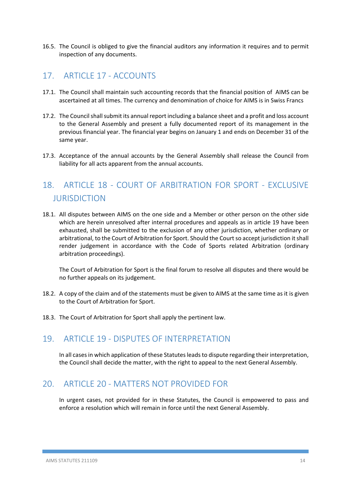16.5. The Council is obliged to give the financial auditors any information it requires and to permit inspection of any documents.

### 17. ARTICLE 17 - ACCOUNTS

- 17.1. The Council shall maintain such accounting records that the financial position of AIMS can be ascertained at all times. The currency and denomination of choice for AIMS is in Swiss Francs
- 17.2. The Council shall submit its annual report including a balance sheet and a profit and loss account to the General Assembly and present a fully documented report of its management in the previous financial year. The financial year begins on January 1 and ends on December 31 of the same year.
- 17.3. Acceptance of the annual accounts by the General Assembly shall release the Council from liability for all acts apparent from the annual accounts.

# 18. ARTICLE 18 - COURT OF ARBITRATION FOR SPORT - EXCLUSIVE JURISDICTION

18.1. All disputes between AIMS on the one side and a Member or other person on the other side which are herein unresolved after internal procedures and appeals as in article 19 have been exhausted, shall be submitted to the exclusion of any other jurisdiction, whether ordinary or arbitrational, to the Court of Arbitration for Sport. Should the Court so accept jurisdiction it shall render judgement in accordance with the Code of Sports related Arbitration (ordinary arbitration proceedings).

The Court of Arbitration for Sport is the final forum to resolve all disputes and there would be no further appeals on its judgement.

- 18.2. A copy of the claim and of the statements must be given to AIMS at the same time as it is given to the Court of Arbitration for Sport.
- 18.3. The Court of Arbitration for Sport shall apply the pertinent law.

### 19. ARTICLE 19 ‐ DISPUTES OF INTERPRETATION

In all cases in which application of these Statutes leads to dispute regarding their interpretation, the Council shall decide the matter, with the right to appeal to the next General Assembly.

### 20. ARTICLE 20 - MATTERS NOT PROVIDED FOR

In urgent cases, not provided for in these Statutes, the Council is empowered to pass and enforce a resolution which will remain in force until the next General Assembly.